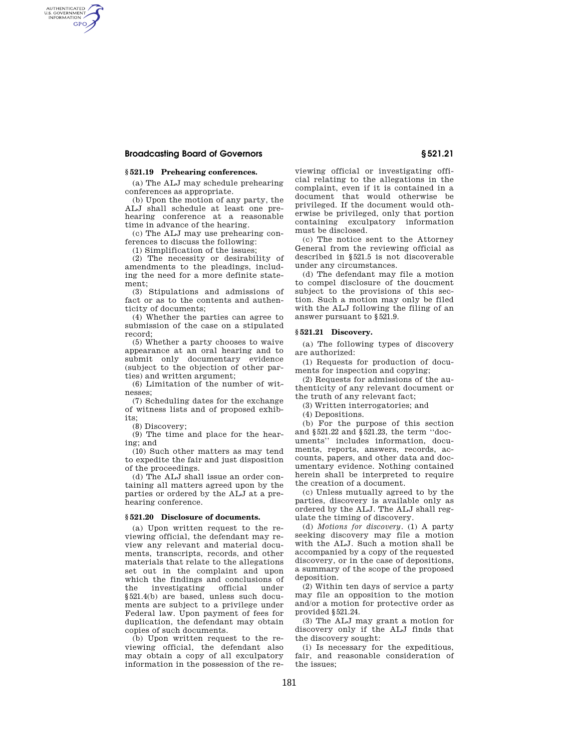# **Broadcasting Board of Governors § 521.21**

AUTHENTICATED<br>U.S. GOVERNMENT<br>INFORMATION **GPO** 

## **§ 521.19 Prehearing conferences.**

(a) The ALJ may schedule prehearing conferences as appropriate.

(b) Upon the motion of any party, the ALJ shall schedule at least one prehearing conference at a reasonable time in advance of the hearing.

(c) The ALJ may use prehearing conferences to discuss the following:

(1) Simplification of the issues;

(2) The necessity or desirability of amendments to the pleadings, including the need for a more definite statement;

(3) Stipulations and admissions of fact or as to the contents and authenticity of documents;

(4) Whether the parties can agree to submission of the case on a stipulated record;

(5) Whether a party chooses to waive appearance at an oral hearing and to submit only documentary evidence (subject to the objection of other parties) and written argument;

(6) Limitation of the number of witnesses;

(7) Scheduling dates for the exchange of witness lists and of proposed exhibits;

(8) Discovery;

(9) The time and place for the hearing; and

(10) Such other matters as may tend to expedite the fair and just disposition of the proceedings.

(d) The ALJ shall issue an order containing all matters agreed upon by the parties or ordered by the ALJ at a prehearing conference.

## **§ 521.20 Disclosure of documents.**

(a) Upon written request to the reviewing official, the defendant may review any relevant and material documents, transcripts, records, and other materials that relate to the allegations set out in the complaint and upon which the findings and conclusions of<br>the investigating official under the investigating official under §521.4(b) are based, unless such documents are subject to a privilege under Federal law. Upon payment of fees for duplication, the defendant may obtain copies of such documents.

(b) Upon written request to the reviewing official, the defendant also may obtain a copy of all exculpatory information in the possession of the re-

viewing official or investigating official relating to the allegations in the complaint, even if it is contained in a document that would otherwise be privileged. If the document would otherwise be privileged, only that portion containing exculpatory information must be disclosed.

(c) The notice sent to the Attorney General from the reviewing official as described in §521.5 is not discoverable under any circumstances.

(d) The defendant may file a motion to compel disclosure of the doucment subject to the provisions of this section. Such a motion may only be filed with the ALJ following the filing of an answer pursuant to §521.9.

## **§ 521.21 Discovery.**

(a) The following types of discovery are authorized:

(1) Requests for production of documents for inspection and copying;

(2) Requests for admissions of the authenticity of any relevant document or the truth of any relevant fact;

(3) Written interrogatories; and

(4) Depositions.

(b) For the purpose of this section and §521.22 and §521.23, the term ''documents'' includes information, documents, reports, answers, records, accounts, papers, and other data and documentary evidence. Nothing contained herein shall be interpreted to require the creation of a document.

(c) Unless mutually agreed to by the parties, discovery is available only as ordered by the ALJ. The ALJ shall regulate the timing of discovery.

(d) *Motions for discovery.* (1) A party seeking discovery may file a motion with the ALJ. Such a motion shall be accompanied by a copy of the requested discovery, or in the case of depositions, a summary of the scope of the proposed deposition.

(2) Within ten days of service a party may file an opposition to the motion and/or a motion for protective order as provided §521.24.

(3) The ALJ may grant a motion for discovery only if the ALJ finds that the discovery sought:

(i) Is necessary for the expeditious, fair, and reasonable consideration of the issues;